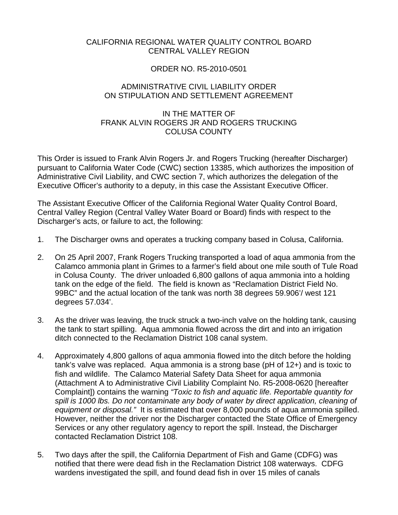#### CALIFORNIA REGIONAL WATER QUALITY CONTROL BOARD CENTRAL VALLEY REGION

#### ORDER NO. R5-2010-0501

#### ADMINISTRATIVE CIVIL LIABILITY ORDER ON STIPULATION AND SETTLEMENT AGREEMENT

#### IN THE MATTER OF FRANK ALVIN ROGERS JR AND ROGERS TRUCKING COLUSA COUNTY

This Order is issued to Frank Alvin Rogers Jr. and Rogers Trucking (hereafter Discharger) pursuant to California Water Code (CWC) section 13385, which authorizes the imposition of Administrative Civil Liability, and CWC section 7, which authorizes the delegation of the Executive Officer's authority to a deputy, in this case the Assistant Executive Officer.

The Assistant Executive Officer of the California Regional Water Quality Control Board, Central Valley Region (Central Valley Water Board or Board) finds with respect to the Discharger's acts, or failure to act, the following:

- 1. The Discharger owns and operates a trucking company based in Colusa, California.
- 2. On 25 April 2007, Frank Rogers Trucking transported a load of aqua ammonia from the Calamco ammonia plant in Grimes to a farmer's field about one mile south of Tule Road in Colusa County. The driver unloaded 6,800 gallons of aqua ammonia into a holding tank on the edge of the field. The field is known as "Reclamation District Field No. 99BC" and the actual location of the tank was north 38 degrees 59.906'/ west 121 degrees 57.034'.
- 3. As the driver was leaving, the truck struck a two-inch valve on the holding tank, causing the tank to start spilling. Aqua ammonia flowed across the dirt and into an irrigation ditch connected to the Reclamation District 108 canal system.
- 4. Approximately 4,800 gallons of aqua ammonia flowed into the ditch before the holding tank's valve was replaced. Aqua ammonia is a strong base (pH of 12+) and is toxic to fish and wildlife. The Calamco Material Safety Data Sheet for aqua ammonia (Attachment A to Administrative Civil Liability Complaint No. R5-2008-0620 [hereafter Complaint]) contains the warning *"Toxic to fish and aquatic life. Reportable quantity for*  spill is 1000 lbs. Do not contaminate any body of water by direct application, cleaning of *equipment or disposal."* It is estimated that over 8,000 pounds of aqua ammonia spilled. However, neither the driver nor the Discharger contacted the State Office of Emergency Services or any other regulatory agency to report the spill. Instead, the Discharger contacted Reclamation District 108.
- 5. Two days after the spill, the California Department of Fish and Game (CDFG) was notified that there were dead fish in the Reclamation District 108 waterways. CDFG wardens investigated the spill, and found dead fish in over 15 miles of canals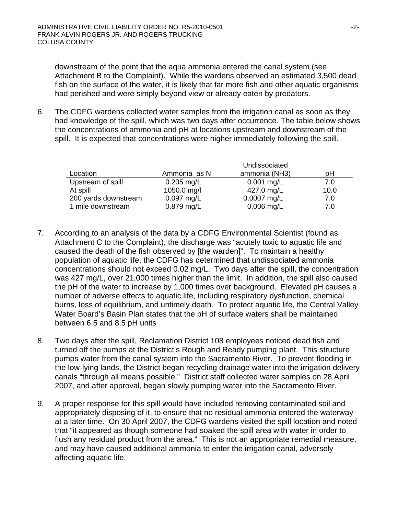downstream of the point that the aqua ammonia entered the canal system (see Attachment B to the Complaint). While the wardens observed an estimated 3,500 dead fish on the surface of the water, it is likely that far more fish and other aquatic organisms had perished and were simply beyond view or already eaten by predators.

6. The CDFG wardens collected water samples from the irrigation canal as soon as they had knowledge of the spill, which was two days after occurrence. The table below shows the concentrations of ammonia and pH at locations upstream and downstream of the spill. It is expected that concentrations were higher immediately following the spill.

|                      | Undissociated |               |      |
|----------------------|---------------|---------------|------|
| Location             | Ammonia as N  | ammonia (NH3) | рH   |
| Upstream of spill    | $0.205$ mg/L  | $0.001$ mg/L  | 7.0  |
| At spill             | 1050.0 mg/l   | 427.0 mg/L    | 10.0 |
| 200 yards downstream | $0.097$ mg/L  | $0.0007$ mg/L | 7.0  |
| 1 mile downstream    | $0.879$ mg/L  | $0.006$ mg/L  | 7.0  |

- 7. According to an analysis of the data by a CDFG Environmental Scientist (found as Attachment C to the Complaint), the discharge was "acutely toxic to aquatic life and caused the death of the fish observed by [the warden]". To maintain a healthy population of aquatic life, the CDFG has determined that undissociated ammonia concentrations should not exceed 0.02 mg/L. Two days after the spill, the concentration was 427 mg/L, over 21,000 times higher than the limit. In addition, the spill also caused the pH of the water to increase by 1,000 times over background. Elevated pH causes a number of adverse effects to aquatic life, including respiratory dysfunction, chemical burns, loss of equilibrium, and untimely death. To protect aquatic life, the Central Valley Water Board's Basin Plan states that the pH of surface waters shall be maintained between 6.5 and 8.5 pH units
- 8. Two days after the spill, Reclamation District 108 employees noticed dead fish and turned off the pumps at the District's Rough and Ready pumping plant. This structure pumps water from the canal system into the Sacramento River. To prevent flooding in the low-lying lands, the District began recycling drainage water into the irrigation delivery canals "through all means possible." District staff collected water samples on 28 April 2007, and after approval, began slowly pumping water into the Sacramento River.
- 9. A proper response for this spill would have included removing contaminated soil and appropriately disposing of it, to ensure that no residual ammonia entered the waterway at a later time. On 30 April 2007, the CDFG wardens visited the spill location and noted that "it appeared as though someone had soaked the spill area with water in order to flush any residual product from the area." This is not an appropriate remedial measure, and may have caused additional ammonia to enter the irrigation canal, adversely affecting aquatic life.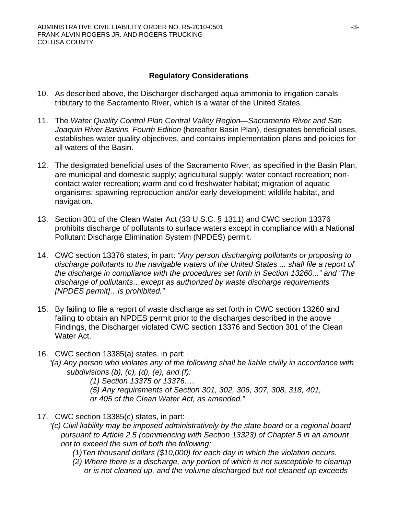#### **Regulatory Considerations**

- 10. As described above, the Discharger discharged aqua ammonia to irrigation canals tributary to the Sacramento River, which is a water of the United States.
- 11. The *Water Quality Control Plan Central Valley Region—Sacramento River and San Joaquin River Basins, Fourth Edition* (hereafter Basin Plan), designates beneficial uses, establishes water quality objectives, and contains implementation plans and policies for all waters of the Basin.
- 12. The designated beneficial uses of the Sacramento River, as specified in the Basin Plan, are municipal and domestic supply; agricultural supply; water contact recreation; noncontact water recreation; warm and cold freshwater habitat; migration of aquatic organisms; spawning reproduction and/or early development; wildlife habitat, and navigation.
- 13. Section 301 of the Clean Water Act (33 U.S.C. § 1311) and CWC section 13376 prohibits discharge of pollutants to surface waters except in compliance with a National Pollutant Discharge Elimination System (NPDES) permit.
- 14. CWC section 13376 states, in part: *"Any person discharging pollutants or proposing to discharge pollutants to the navigable waters of the United States ... shall file a report of the discharge in compliance with the procedures set forth in Section 13260..." and "The discharge of pollutants…except as authorized by waste discharge requirements [NPDES permit]…is prohibited."*
- 15. By failing to file a report of waste discharge as set forth in CWC section 13260 and failing to obtain an NPDES permit prior to the discharges described in the above Findings, the Discharger violated CWC section 13376 and Section 301 of the Clean Water Act.
- 16. CWC section 13385(a) states, in part:
	- *"(a) Any person who violates any of the following shall be liable civilly in accordance with subdivisions (b), (c), (d), (e), and (f):*

*(1) Section 13375 or 13376….* 

*(5) Any requirements of Section 301, 302, 306, 307, 308, 318, 401, or 405 of the Clean Water Act, as amended."* 

- 17. CWC section 13385(c) states, in part:
	- *"(c) Civil liability may be imposed administratively by the state board or a regional board pursuant to Article 2.5 (commencing with Section 13323) of Chapter 5 in an amount not to exceed the sum of both the following:* 
		- *(1)Ten thousand dollars (\$10,000) for each day in which the violation occurs.*
		- *(2) Where there is a discharge, any portion of which is not susceptible to cleanup or is not cleaned up, and the volume discharged but not cleaned up exceeds*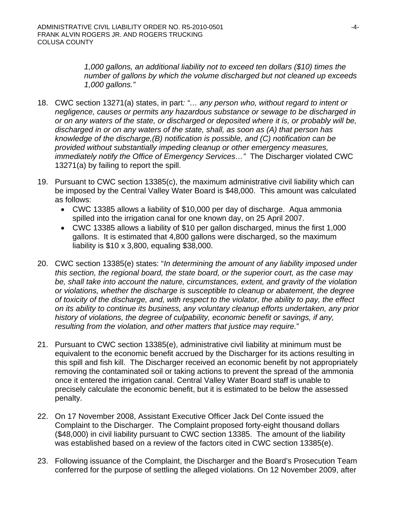*1,000 gallons, an additional liability not to exceed ten dollars (\$10) times the number of gallons by which the volume discharged but not cleaned up exceeds 1,000 gallons."* 

- 18. CWC section 13271(a) states, in part*: "… any person who, without regard to intent or negligence, causes or permits any hazardous substance or sewage to be discharged in or on any waters of the state, or discharged or deposited where it is, or probably will be, discharged in or on any waters of the state, shall, as soon as (A) that person has knowledge of the discharge,(B) notification is possible, and (C) notification can be provided without substantially impeding cleanup or other emergency measures, immediately notify the Office of Emergency Services…"* The Discharger violated CWC 13271(a) by failing to report the spill.
- 19. Pursuant to CWC section 13385(c), the maximum administrative civil liability which can be imposed by the Central Valley Water Board is \$48,000. This amount was calculated as follows:
	- CWC 13385 allows a liability of \$10,000 per day of discharge. Aqua ammonia spilled into the irrigation canal for one known day, on 25 April 2007.
	- CWC 13385 allows a liability of \$10 per gallon discharged, minus the first 1,000 gallons. It is estimated that 4,800 gallons were discharged, so the maximum liability is \$10 x 3,800, equaling \$38,000.
- 20. CWC section 13385(e) states: "*In determining the amount of any liability imposed under this section, the regional board, the state board, or the superior court, as the case may be, shall take into account the nature, circumstances, extent, and gravity of the violation or violations, whether the discharge is susceptible to cleanup or abatement, the degree of toxicity of the discharge, and, with respect to the violator, the ability to pay, the effect on its ability to continue its business, any voluntary cleanup efforts undertaken, any prior history of violations, the degree of culpability, economic benefit or savings, if any, resulting from the violation, and other matters that justice may require.*"
- 21. Pursuant to CWC section 13385(e), administrative civil liability at minimum must be equivalent to the economic benefit accrued by the Discharger for its actions resulting in this spill and fish kill. The Discharger received an economic benefit by not appropriately removing the contaminated soil or taking actions to prevent the spread of the ammonia once it entered the irrigation canal. Central Valley Water Board staff is unable to precisely calculate the economic benefit, but it is estimated to be below the assessed penalty.
- 22. On 17 November 2008, Assistant Executive Officer Jack Del Conte issued the Complaint to the Discharger. The Complaint proposed forty-eight thousand dollars (\$48,000) in civil liability pursuant to CWC section 13385. The amount of the liability was established based on a review of the factors cited in CWC section 13385(e).
- 23. Following issuance of the Complaint, the Discharger and the Board's Prosecution Team conferred for the purpose of settling the alleged violations. On 12 November 2009, after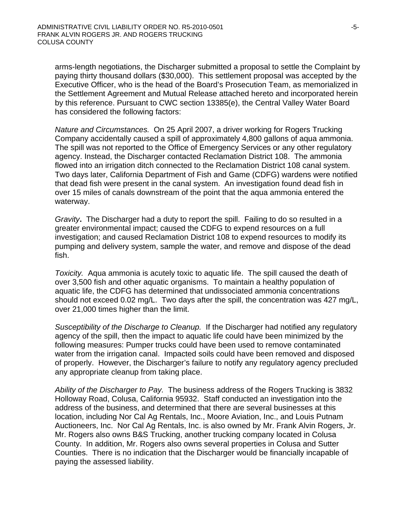arms-length negotiations, the Discharger submitted a proposal to settle the Complaint by paying thirty thousand dollars (\$30,000). This settlement proposal was accepted by the Executive Officer, who is the head of the Board's Prosecution Team, as memorialized in the Settlement Agreement and Mutual Release attached hereto and incorporated herein by this reference. Pursuant to CWC section 13385(e), the Central Valley Water Board has considered the following factors:

*Nature and Circumstances.* On 25 April 2007, a driver working for Rogers Trucking Company accidentally caused a spill of approximately 4,800 gallons of aqua ammonia. The spill was not reported to the Office of Emergency Services or any other regulatory agency. Instead, the Discharger contacted Reclamation District 108. The ammonia flowed into an irrigation ditch connected to the Reclamation District 108 canal system. Two days later, California Department of Fish and Game (CDFG) wardens were notified that dead fish were present in the canal system. An investigation found dead fish in over 15 miles of canals downstream of the point that the aqua ammonia entered the waterway.

*Gravity***.** The Discharger had a duty to report the spill. Failing to do so resulted in a greater environmental impact; caused the CDFG to expend resources on a full investigation; and caused Reclamation District 108 to expend resources to modify its pumping and delivery system, sample the water, and remove and dispose of the dead fish.

*Toxicity.*Aqua ammonia is acutely toxic to aquatic life. The spill caused the death of over 3,500 fish and other aquatic organisms. To maintain a healthy population of aquatic life, the CDFG has determined that undissociated ammonia concentrations should not exceed 0.02 mg/L. Two days after the spill, the concentration was 427 mg/L, over 21,000 times higher than the limit.

*Susceptibility of the Discharge to Cleanup.* If the Discharger had notified any regulatory agency of the spill, then the impact to aquatic life could have been minimized by the following measures: Pumper trucks could have been used to remove contaminated water from the irrigation canal. Impacted soils could have been removed and disposed of properly. However, the Discharger's failure to notify any regulatory agency precluded any appropriate cleanup from taking place.

*Ability of the Discharger to Pay.* The business address of the Rogers Trucking is 3832 Holloway Road, Colusa, California 95932. Staff conducted an investigation into the address of the business, and determined that there are several businesses at this location, including Nor Cal Ag Rentals, Inc., Moore Aviation, Inc., and Louis Putnam Auctioneers, Inc. Nor Cal Ag Rentals, Inc. is also owned by Mr. Frank Alvin Rogers, Jr. Mr. Rogers also owns B&S Trucking, another trucking company located in Colusa County. In addition, Mr. Rogers also owns several properties in Colusa and Sutter Counties. There is no indication that the Discharger would be financially incapable of paying the assessed liability.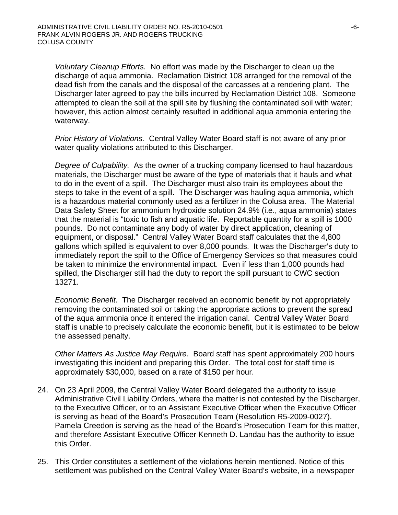*Voluntary Cleanup Efforts.* No effort was made by the Discharger to clean up the discharge of aqua ammonia. Reclamation District 108 arranged for the removal of the dead fish from the canals and the disposal of the carcasses at a rendering plant. The Discharger later agreed to pay the bills incurred by Reclamation District 108. Someone attempted to clean the soil at the spill site by flushing the contaminated soil with water; however, this action almost certainly resulted in additional aqua ammonia entering the waterway.

*Prior History of Violations.*Central Valley Water Board staff is not aware of any prior water quality violations attributed to this Discharger.

*Degree of Culpability.* As the owner of a trucking company licensed to haul hazardous materials, the Discharger must be aware of the type of materials that it hauls and what to do in the event of a spill. The Discharger must also train its employees about the steps to take in the event of a spill. The Discharger was hauling aqua ammonia, which is a hazardous material commonly used as a fertilizer in the Colusa area. The Material Data Safety Sheet for ammonium hydroxide solution 24.9% (i.e., aqua ammonia) states that the material is "toxic to fish and aquatic life. Reportable quantity for a spill is 1000 pounds. Do not contaminate any body of water by direct application, cleaning of equipment, or disposal." Central Valley Water Board staff calculates that the 4,800 gallons which spilled is equivalent to over 8,000 pounds. It was the Discharger's duty to immediately report the spill to the Office of Emergency Services so that measures could be taken to minimize the environmental impact. Even if less than 1,000 pounds had spilled, the Discharger still had the duty to report the spill pursuant to CWC section 13271.

*Economic Benefit*. The Discharger received an economic benefit by not appropriately removing the contaminated soil or taking the appropriate actions to prevent the spread of the aqua ammonia once it entered the irrigation canal. Central Valley Water Board staff is unable to precisely calculate the economic benefit, but it is estimated to be below the assessed penalty.

*Other Matters As Justice May Require*. Board staff has spent approximately 200 hours investigating this incident and preparing this Order. The total cost for staff time is approximately \$30,000, based on a rate of \$150 per hour.

- 24. On 23 April 2009, the Central Valley Water Board delegated the authority to issue Administrative Civil Liability Orders, where the matter is not contested by the Discharger, to the Executive Officer, or to an Assistant Executive Officer when the Executive Officer is serving as head of the Board's Prosecution Team (Resolution R5-2009-0027). Pamela Creedon is serving as the head of the Board's Prosecution Team for this matter, and therefore Assistant Executive Officer Kenneth D. Landau has the authority to issue this Order.
- 25. This Order constitutes a settlement of the violations herein mentioned. Notice of this settlement was published on the Central Valley Water Board's website, in a newspaper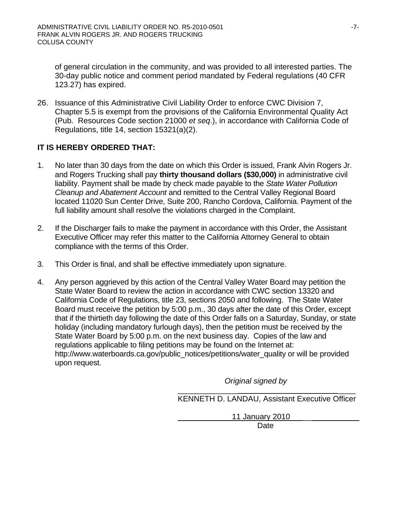of general circulation in the community, and was provided to all interested parties. The 30-day public notice and comment period mandated by Federal regulations (40 CFR 123.27) has expired.

26. Issuance of this Administrative Civil Liability Order to enforce CWC Division 7, Chapter 5.5 is exempt from the provisions of the California Environmental Quality Act (Pub. Resources Code section 21000 *et seq*.), in accordance with California Code of Regulations, title 14, section 15321(a)(2).

## **IT IS HEREBY ORDERED THAT:**

- 1. No later than 30 days from the date on which this Order is issued, Frank Alvin Rogers Jr. and Rogers Trucking shall pay **thirty thousand dollars (\$30,000)** in administrative civil liability. Payment shall be made by check made payable to the *State Water Pollution Cleanup and Abatement Account* and remitted to the Central Valley Regional Board located 11020 Sun Center Drive, Suite 200, Rancho Cordova, California. Payment of the full liability amount shall resolve the violations charged in the Complaint.
- 2. If the Discharger fails to make the payment in accordance with this Order, the Assistant Executive Officer may refer this matter to the California Attorney General to obtain compliance with the terms of this Order.
- 3. This Order is final, and shall be effective immediately upon signature.
- 4. Any person aggrieved by this action of the Central Valley Water Board may petition the State Water Board to review the action in accordance with CWC section 13320 and California Code of Regulations, title 23, sections 2050 and following. The State Water Board must receive the petition by 5:00 p.m., 30 days after the date of this Order, except that if the thirtieth day following the date of this Order falls on a Saturday, Sunday, or state holiday (including mandatory furlough days), then the petition must be received by the State Water Board by 5:00 p.m. on the next business day. Copies of the law and regulations applicable to filing petitions may be found on the Internet at: http://www.waterboards.ca.gov/public\_notices/petitions/water\_quality or will be provided upon request.

*Original signed by* 

\_\_\_\_\_\_\_\_\_\_\_\_\_\_*\_\_\_\_\_\_\_\_\_\_\_\_\_\_\_\_\_\_\_\_\_\_\_*\_\_\_\_ KENNETH D. LANDAU, Assistant Executive Officer

11 January 2010\_\_\_\_\_\_\_\_\_\_\_\_\_\_\_\_

**Date**